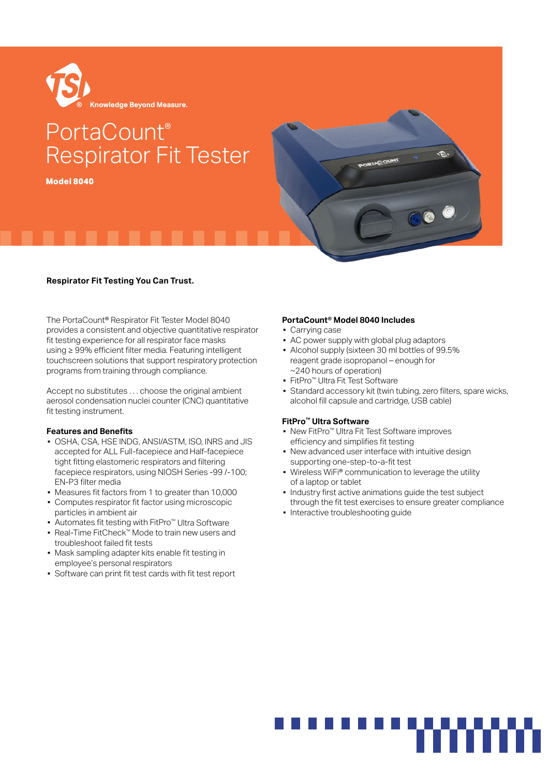

# PortaCount® Respirator Fit Tester

**Model 8040**



# **Respirator Fit Testing You Can Trust.**

The PortaCount® Respirator Fit Tester Model 8040 provides a consistent and objective quantitative respirator fit testing experience for all respirator face masks using ≥ 99% efficient filter media. Featuring intelligent touchscreen solutions that support respiratory protection programs from training through compliance.

Accept no substitutes . . . choose the original ambient aerosol condensation nuclei counter (CNC) quantitative fit testing instrument.

#### **Features and Benefits**

- OSHA, CSA, HSE INDG, ANSI/ASTM, ISO, INRS and JIS accepted for ALL Full-facepiece and Half-facepiece tight fitting elastomeric respirators and filtering facepiece respirators, using NIOSH Series -99 /-100; EN-P3 filter media
- Measures fit factors from 1 to greater than 10,000
- **Computes respirator fit factor using microscopic** particles in ambient air
- Automates fit testing with FitPro™ Ultra Software
- Real-Time FitCheck™ Mode to train new users and troubleshoot failed fit tests
- Mask sampling adapter kits enable fit testing in employee's personal respirators
- Software can print fit test cards with fit test report

# **PortaCount® Model 8040 Includes**

- Carrying case
- AC power supply with global plug adaptors
- Alcohol supply (sixteen 30 ml bottles of 99.5% reagent grade isopropanol – enough for ~240 hours of operation)
- FitPro™ Ultra Fit Test Software
- **EXTER** Standard accessory kit (twin tubing, zero filters, spare wicks, alcohol fill capsule and cartridge, USB cable)

# **FitPro™ Ultra Software**

- New FitPro<sup>™</sup> Ultra Fit Test Software improves efficiency and simplifies fit testing
- New advanced user interface with intuitive design supporting one-step-to-a-fit test
- Wireless WiFi® communication to leverage the utility of a laptop or tablet
- Industry first active animations guide the test subject through the fit test exercises to ensure greater compliance
- Interactive troubleshooting guide